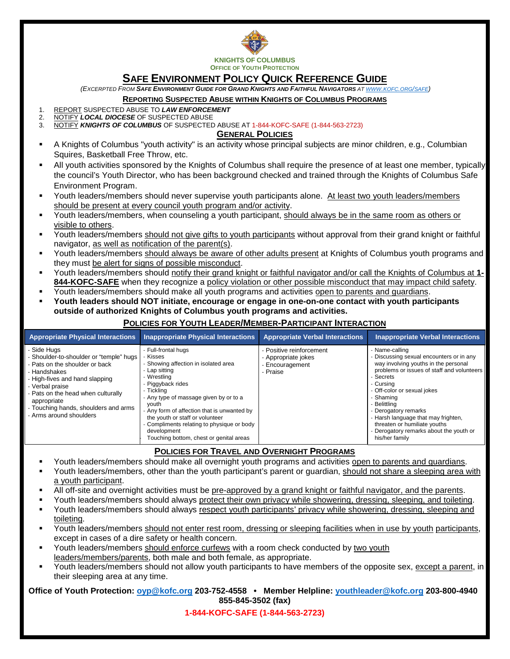

# **SAFE ENVIRONMENT POLICY QUICK REFERENCE GUIDE**

*(EXCERPTED FROM SAFE ENVIRONMENT GUIDE FOR GRAND KNIGHTS AND FAITHFUL NAVIGATORS A[T WWW.KOFC.ORG/SAFE\)](http://www.kofc.org/safe)*

#### **REPORTING SUSPECTED ABUSE WITHIN KNIGHTS OF COLUMBUS PROGRAMS**

- 1. REPORT SUSPECTED ABUSE TO *LAW ENFORCEMENT*<br>2. NOTIEV LOCAL DIOCESE OF SUSPECTED ABUSE
- 2. NOTIFY LOCAL DIOCESE OF SUSPECTED ABUSE<br>3. NOTIFY KNIGHTS OF COLUMBUS OF SUSPECTED
- 3. NOTIFY *KNIGHTS OF COLUMBUS* OF SUSPECTED ABUSE AT 1-844-KOFC-SAFE (1-844-563-2723)

#### **GENERAL POLICIES**

- A Knights of Columbus "youth activity" is an activity whose principal subjects are minor children, e.g., Columbian Squires, Basketball Free Throw, etc.
- All youth activities sponsored by the Knights of Columbus shall require the presence of at least one member, typically the council's Youth Director, who has been background checked and trained through the Knights of Columbus Safe Environment Program.
- Youth leaders/members should never supervise youth participants alone. At least two youth leaders/members should be present at every council youth program and/or activity.
- Youth leaders/members, when counseling a youth participant, should always be in the same room as others or visible to others.
- Youth leaders/members should not give gifts to youth participants without approval from their grand knight or faithful navigator, as well as notification of the parent(s).
- Youth leaders/members should always be aware of other adults present at Knights of Columbus youth programs and they must be alert for signs of possible misconduct.
- Youth leaders/members should notify their grand knight or faithful navigator and/or call the Knights of Columbus at **1- 844-KOFC-SAFE** when they recognize a policy violation or other possible misconduct that may impact child safety.
- Youth leaders/members should make all youth programs and activities open to parents and guardians.
- **Youth leaders should NOT initiate, encourage or engage in one-on-one contact with youth participants outside of authorized Knights of Columbus youth programs and activities.**

| <b>Appropriate Physical Interactions</b>                                                                                                                                                                                                                                  | <b>Inappropriate Physical Interactions</b>                                                                                                                                                                                                                                                                                                                                            | <b>Appropriate Verbal Interactions</b>                                         | <b>Inappropriate Verbal Interactions</b>                                                                                                                                                                                                                                                                                                                                             |
|---------------------------------------------------------------------------------------------------------------------------------------------------------------------------------------------------------------------------------------------------------------------------|---------------------------------------------------------------------------------------------------------------------------------------------------------------------------------------------------------------------------------------------------------------------------------------------------------------------------------------------------------------------------------------|--------------------------------------------------------------------------------|--------------------------------------------------------------------------------------------------------------------------------------------------------------------------------------------------------------------------------------------------------------------------------------------------------------------------------------------------------------------------------------|
| Side Hugs<br>Shoulder-to-shoulder or "temple" hugs<br>- Pats on the shoulder or back<br>Handshakes<br>High-fives and hand slapping<br>Verbal praise<br>Pats on the head when culturally<br>appropriate<br>- Touching hands, shoulders and arms<br>- Arms around shoulders | - Full-frontal hugs<br>- Kisses<br>- Showing affection in isolated area<br>- Lap sitting<br>- Wrestlina<br>- Piggyback rides<br>- Ticklina<br>- Any type of massage given by or to a<br>vouth<br>- Any form of affection that is unwanted by<br>the youth or staff or volunteer<br>Compliments relating to physique or body<br>development<br>Touching bottom, chest or genital areas | - Positive reinforcement<br>- Appropriate jokes<br>- Encouragement<br>- Praise | Name-calling<br>Discussing sexual encounters or in any<br>way involving youths in the personal<br>problems or issues of staff and volunteers<br>Secrets<br>- Cursing<br>- Off-color or sexual jokes<br>- Shaming<br>Belittling<br>Derogatory remarks<br>Harsh language that may frighten,<br>threaten or humiliate youths<br>Derogatory remarks about the youth or<br>his/her family |

### **POLICIES FOR YOUTH LEADER/MEMBER-PARTICIPANT INTERACTION**

### **POLICIES FOR TRAVEL AND OVERNIGHT PROGRAMS**

- Youth leaders/members should make all overnight youth programs and activities open to parents and guardians.
- Youth leaders/members, other than the youth participant's parent or guardian, should not share a sleeping area with a youth participant.
- All off-site and overnight activities must be pre-approved by a grand knight or faithful navigator, and the parents.
- Youth leaders/members should always protect their own privacy while showering, dressing, sleeping, and toileting.
- Youth leaders/members should always respect youth participants' privacy while showering, dressing, sleeping and toileting.
- Youth leaders/members should not enter rest room, dressing or sleeping facilities when in use by youth participants, except in cases of a dire safety or health concern.
- Youth leaders/members should enforce curfews with a room check conducted by two youth leaders/members/parents, both male and both female, as appropriate.
- Youth leaders/members should not allow youth participants to have members of the opposite sex, except a parent, in their sleeping area at any time.

#### **Office of Youth Protection: [oyp@kofc.org](mailto:oyp@kofc.org) 203-752-4558 • Member Helpline: [youthleader@kofc.org](mailto:youthleader@kofc.org) 203-800-4940 855-845-3502 (fax)**

**1-844-KOFC-SAFE (1-844-563-2723)**